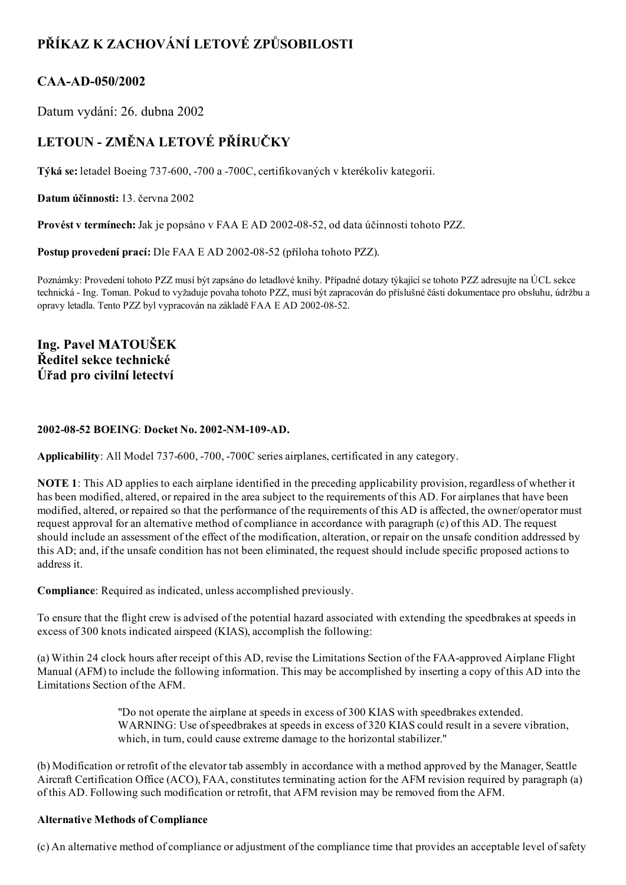# PŘÍKAZ K ZACHOVÁNÍ LETOVÉ ZPŮSOBILOSTI

### CAA-AD-050/2002

Datum vydání: 26. dubna 2002

## LETOUN - ZMĚNA LETOVÉ PŘÍRUČKY

Týká se: letadel Boeing 737-600, -700 a -700C, certifikovaných v kterékoliv kategorii.

Datum účinnosti: 13. června 2002

Provést v termínech: Jak je popsáno v FAA E AD 2002-08-52, od data účinnosti tohoto PZZ.

Postup provedení prací: Dle FAA E AD 2002-08-52 (příloha tohoto PZZ).

Poznámky: Provedení tohoto PZZ musí být zapsáno do letadlové knihy. Případné dotazy týkající se tohoto PZZ adresujte na ÚCL sekce technická Ing. Toman. Pokud to vyžaduje povaha tohoto PZZ, musí být zapracován do příslušné části dokumentace pro obsluhu, údržbu a opravy letadla. Tento PZZ byl vypracován na základě FAA E AD 2002-08-52.

Ing. Pavel MATOUŠEK Ředitel sekce technické Úřad pro civilní letectví

### 2002-08-52 BOEING: Docket No. 2002-NM-109-AD.

Applicability: All Model 737-600, -700, -700C series airplanes, certificated in any category.

NOTE 1: This AD applies to each airplane identified in the preceding applicability provision, regardless of whether it has been modified, altered, or repaired in the area subject to the requirements of this AD. For airplanes that have been modified, altered, or repaired so that the performance of the requirements of this AD is affected, the owner/operator must request approval for an alternative method of compliance in accordance with paragraph (c) of this AD. The request should include an assessment of the effect of the modification, alteration, or repair on the unsafe condition addressed by this AD; and, if the unsafe condition has not been eliminated, the request should include specific proposed actions to address it.

Compliance: Required as indicated, unless accomplished previously.

To ensure that the flight crew is advised of the potential hazard associated with extending the speedbrakes at speeds in excess of 300 knots indicated airspeed (KIAS), accomplish the following:

(a) Within 24 clock hours after receipt of this AD, revise the Limitations Section of the FAA-approved Airplane Flight Manual (AFM) to include the following information. This may be accomplished by inserting a copy of this AD into the Limitations Section of the AFM.

> "Do not operate the airplane at speeds in excess of 300 KIAS with speedbrakes extended. WARNING: Use of speedbrakes at speeds in excess of 320 KIAS could result in a severe vibration, which, in turn, could cause extreme damage to the horizontal stabilizer."

(b) Modification or retrofit of the elevator tab assembly in accordance with a method approved by the Manager, Seattle Aircraft Certification Office (ACO), FAA, constitutes terminating action for the AFM revision required by paragraph (a) of this AD. Following such modification or retrofit, that AFM revision may be removed from the AFM.

### Alternative Methods of Compliance

(c) An alternative method of compliance or adjustment of the compliance time that provides an acceptable level ofsafety